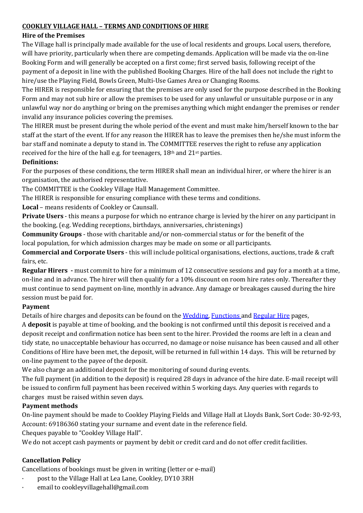### **COOKLEY VILLAGE HALL – TERMS AND CONDITIONS OF HIRE**

### **Hire of the Premises**

The Village hall is principally made available for the use of local residents and groups. Local users, therefore, will have priority, particularly when there are competing demands. Application will be made via the on-line Booking Form and will generally be accepted on a first come; first served basis, following receipt of the payment of a deposit in line with the published Booking Charges. Hire of the hall does not include the right to hire/use the Playing Field, Bowls Green, Multi-Use Games Area or Changing Rooms.

The HIRER is responsible for ensuring that the premises are only used for the purpose described in the Booking Form and may not sub hire or allow the premises to be used for any unlawful or unsuitable purpose or in any unlawful way nor do anything or bring on the premises anything which might endanger the premises or render invalid any insurance policies covering the premises.

The HIRER must be present during the whole period of the event and must make him/herself known to the bar staff at the start of the event. If for any reason the HIRER has to leave the premises then he/she must inform the bar staff and nominate a deputy to stand in. The COMMITTEE reserves the right to refuse any application received for the hire of the hall e.g. for teenagers,  $18<sup>th</sup>$  and  $21<sup>st</sup>$  parties.

### **Definitions:**

For the purposes of these conditions, the term HIRER shall mean an individual hirer, or where the hirer is an organisation, the authorised representative.

The COMMITTEE is the Cookley Village Hall Management Committee.

The HIRER is responsible for ensuring compliance with these terms and conditions.

Local – means residents of Cookley or Caunsall.

**Private Users** - this means a purpose for which no entrance charge is levied by the hirer on any participant in the booking, (e.g. Wedding receptions, birthdays, anniversaries, christenings)

**Community Groups** - those with charitable and/or non-commercial status or for the benefit of the local population, for which admission charges may be made on some or all participants.

**Commercial and Corporate Users** - this will include political organisations, elections, auctions, trade & craft fairs, etc.

**Regular Hirers -** must commit to hire for a minimum of 12 consecutive sessions and pay for a month at a time, on-line and in advance. The hirer will then qualify for a 10% discount on room hire rates only. Thereafter they must continue to send payment on-line, monthly in advance. Any damage or breakages caused during the hire session must be paid for.

### **Payment**

Details of hire charges and deposits can be found on the Wedding, Functions and Regular Hire pages,

A **deposit** is payable at time of booking, and the booking is not confirmed until this deposit is received and a deposit receipt and confirmation notice has been sent to the hirer. Provided the rooms are left in a clean and tidy state, no unacceptable behaviour has occurred, no damage or noise nuisance has been caused and all other Conditions of Hire have been met, the deposit, will be returned in full within 14 days. This will be returned by on-line payment to the payee of the deposit.

We also charge an additional deposit for the monitoring of sound during events.

The full payment (in addition to the deposit) is required 28 days in advance of the hire date. E-mail receipt will be issued to confirm full payment has been received within 5 working days. Any queries with regards to charges must be raised within seven days.

# **Payment methods**

On-line payment should be made to Cookley Playing Fields and Village Hall at Lloyds Bank, Sort Code: 30-92-93, Account: 69186360 stating your surname and event date in the reference field.

Cheques payable to "Cookley Village Hall".

We do not accept cash payments or payment by debit or credit card and do not offer credit facilities.

# **Cancellation Policy**

Cancellations of bookings must be given in writing (letter or e-mail)

- post to the Village Hall at Lea Lane, Cookley, DY10 3RH
- email to cookleyvillagehall@gmail.com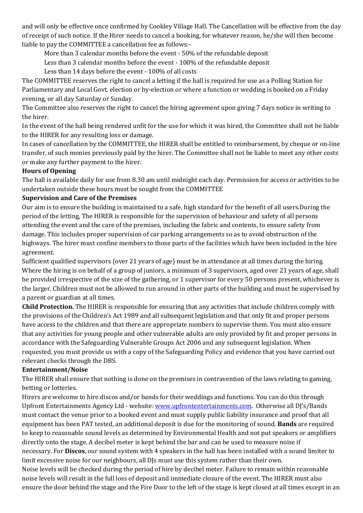and will only be effective once confirmed by Cookley Village Hall. The Cancellation will be effective from the day of receipt of such notice. If the Hirer needs to cancel a booking, for whatever reason, he/she will then become liable to pay the COMMITTEE a cancellation fee as follows:-

More than 3 calendar months before the event  $-50\%$  of the refundable deposit

Less than 3 calendar months before the event - 100% of the refundable deposit

Less than 14 days before the event - 100% of all costs

The COMMITTEE reserves the right to cancel a letting if the hall is required for use as a Polling Station for Parliamentary and Local Govt. election or by-election or where a function or wedding is booked on a Friday evening, or all day Saturday or Sunday.

The Committee also reserves the right to cancel the hiring agreement upon giving 7 days notice in writing to the hirer.

In the event of the hall being rendered unfit for the use for which it was hired, the Committee shall not be liable to the HIRER for any resulting loss or damage.

In cases of cancellation by the COMMITTEE, the HIRER shall be entitled to reimbursement, by cheque or on-line transfer, of such monies previously paid by the hirer. The Committee shall not be liable to meet any other costs or make any further payment to the hirer.

## **Hours of Opening**

The hall is available daily for use from 8.30 am until midnight each day. Permission for access or activities to be undertaken outside these hours must be sought from the COMMITTEE

### **Supervision and Care of the Premises**

Our aim is to ensure the building is maintained to a safe, high standard for the benefit of all users.During the period of the letting, The HIRER is responsible for the supervision of behaviour and safety of all persons attending the event and the care of the premises, including the fabric and contents, to ensure safety from damage. This includes proper supervision of car parking arrangements so as to avoid obstruction of the highways. The hirer must confine members to those parts of the facilities which have been included in the hire agreement.

Sufficient qualified supervisors (over 21 years of age) must be in attendance at all times during the hiring. Where the hiring is on behalf of a group of juniors, a minimum of 3 supervisors, aged over 21 years of age, shall be provided irrespective of the size of the gathering, or 1 supervisor for every 50 persons present, whichever is the larger. Children must not be allowed to run around in other parts of the building and must be supervised by a parent or guardian at all times.

**Child Protection.** The HIRER is responsible for ensuring that any activities that include children comply with the provisions of the Children's Act 1989 and all subsequent legislation and that only fit and proper persons have access to the children and that there are appropriate numbers to supervise them. You must also ensure that any activities for young people and other vulnerable adults are only provided by fit and proper persons in accordance with the Safeguarding Vulnerable Groups Act 2006 and any subsequent legislation. When requested, you must provide us with a copy of the Safeguarding Policy and evidence that you have carried out relevant checks through the DBS.

### **Entertainment/Noise**

The HIRER shall ensure that nothing is done on the premises in contravention of the laws relating to gaming, betting or lotteries.

Hirers are welcome to hire discos and/or bands for their weddings and functions. You can do this through Upfront Entertainments Agency Ltd - website: www.upfrontentertainments.com. Otherwise all DJ's/Bands must contact the venue prior to a booked event and must supply public liability insurance and proof that all equipment has been PAT tested, an additional deposit is due for the monitoring of sound. **Bands** are required to keep to reasonable sound levels as determined by Environmental Health and not put speakers or amplifiers directly onto the stage. A decibel meter is kept behind the bar and can be used to measure noise if necessary. For **Discos**, our sound system with 4 speakers in the hall has been installed with a sound limiter to limit excessive noise for our neighbours, all DJs must use this system rather than their own.

Noise levels will be checked during the period of hire by decibel meter. Failure to remain within reasonable noise levels will result in the full loss of deposit and immediate closure of the event. The HIRER must also ensure the door behind the stage and the Fire Door to the left of the stage is kept closed at all times except in an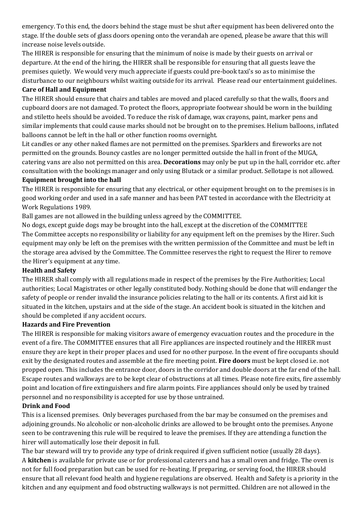emergency. To this end, the doors behind the stage must be shut after equipment has been delivered onto the stage. If the double sets of glass doors opening onto the verandah are opened, please be aware that this will increase noise levels outside.

The HIRER is responsible for ensuring that the minimum of noise is made by their guests on arrival or departure. At the end of the hiring, the HIRER shall be responsible for ensuring that all guests leave the premises quietly. We would very much appreciate if guests could pre-book taxi's so as to minimise the disturbance to our neighbours whilst waiting outside for its arrival. Please read our entertainment guidelines.

## **Care of Hall and Equipment**

The HIRER should ensure that chairs and tables are moved and placed carefully so that the walls, floors and cupboard doors are not damaged. To protect the floors, appropriate footwear should be worn in the building and stiletto heels should be avoided. To reduce the risk of damage, wax crayons, paint, marker pens and similar implements that could cause marks should not be brought on to the premises. Helium balloons, inflated balloons cannot be left in the hall or other function rooms overnight.

Lit candles or any other naked flames are not permitted on the premises. Sparklers and fireworks are not permitted on the grounds. Bouncy castles are no longer permitted outside the hall in front of the MUGA, catering vans are also not permitted on this area. **Decorations** may only be put up in the hall, corridor etc. after consultation with the bookings manager and only using Blutack or a similar product. Sellotape is not allowed.

#### **Equipment brought into the hall**

The HIRER is responsible for ensuring that any electrical, or other equipment brought on to the premises is in good working order and used in a safe manner and has been PAT tested in accordance with the Electricity at Work Regulations 1989.

Ball games are not allowed in the building unless agreed by the COMMITTEE.

No dogs, except guide dogs may be brought into the hall, except at the discretion of the COMMITTEE The Committee accepts no responsibility or liability for any equipment left on the premises by the Hirer. Such equipment may only be left on the premises with the written permission of the Committee and must be left in the storage area advised by the Committee. The Committee reserves the right to request the Hirer to remove the Hirer's equipment at any time.

### **Health and Safety**

The HIRER shall comply with all regulations made in respect of the premises by the Fire Authorities; Local authorities; Local Magistrates or other legally constituted body. Nothing should be done that will endanger the safety of people or render invalid the insurance policies relating to the hall or its contents. A first aid kit is situated in the kitchen, upstairs and at the side of the stage. An accident book is situated in the kitchen and should be completed if any accident occurs.

### **Hazards and Fire Prevention**

The HIRER is responsible for making visitors aware of emergency evacuation routes and the procedure in the event of a fire. The COMMITTEE ensures that all Fire appliances are inspected routinely and the HIRER must ensure they are kept in their proper places and used for no other purpose. In the event of fire occupants should exit by the designated routes and assemble at the fire meeting point. **Fire doors** must be kept closed i.e. not propped open. This includes the entrance door, doors in the corridor and double doors at the far end of the hall. Escape routes and walkways are to be kept clear of obstructions at all times. Please note fire exits, fire assembly point and location of fire extinguishers and fire alarm points. Fire appliances should only be used by trained personnel and no responsibility is accepted for use by those untrained.

### **Drink and Food**

This is a licensed premises. Only beverages purchased from the bar may be consumed on the premises and adjoining grounds. No alcoholic or non-alcoholic drinks are allowed to be brought onto the premises. Anyone seen to be contravening this rule will be required to leave the premises. If they are attending a function the hirer will automatically lose their deposit in full.

The bar steward will try to provide any type of drink required if given sufficient notice (usually 28 days). A **kitchen** is available for private use or for professional caterers and has a small oven and fridge. The oven is not for full food preparation but can be used for re-heating. If preparing, or serving food, the HIRER should ensure that all relevant food health and hygiene regulations are observed. Health and Safety is a priority in the kitchen and any equipment and food obstructing walkways is not permitted. Children are not allowed in the